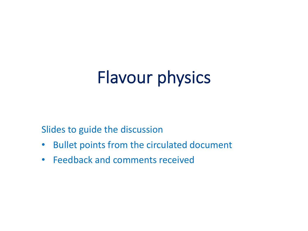# Flavour physics

Slides to guide the discussion

- Bullet points from the circulated document
- Feedback and comments received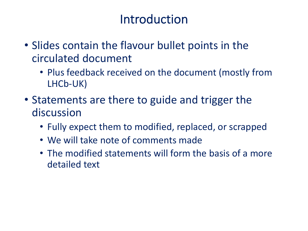#### Introduction

- Slides contain the flavour bullet points in the circulated document
	- Plus feedback received on the document (mostly from LHCb-UK)
- Statements are there to guide and trigger the discussion
	- Fully expect them to modified, replaced, or scrapped
	- We will take note of comments made
	- The modified statements will form the basis of a more detailed text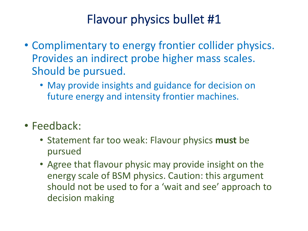- Complimentary to energy frontier collider physics. Provides an indirect probe higher mass scales. Should be pursued.
	- May provide insights and guidance for decision on future energy and intensity frontier machines.
- Feedback:
	- Statement far too weak: Flavour physics **must** be pursued
	- Agree that flavour physic may provide insight on the energy scale of BSM physics. Caution: this argument should not be used to for a 'wait and see' approach to decision making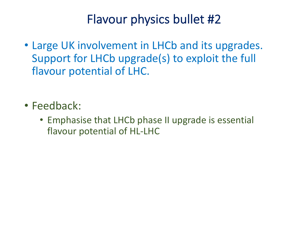- Large UK involvement in LHCb and its upgrades. Support for LHCb upgrade(s) to exploit the full flavour potential of LHC.
- Feedback:
	- Emphasise that LHCb phase II upgrade is essential flavour potential of HL-LHC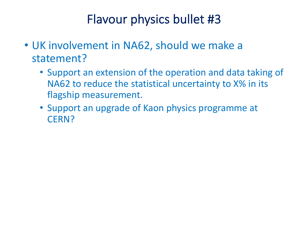- UK involvement in NA62, should we make a statement?
	- Support an extension of the operation and data taking of NA62 to reduce the statistical uncertainty to X% in its flagship measurement.
	- Support an upgrade of Kaon physics programme at CERN?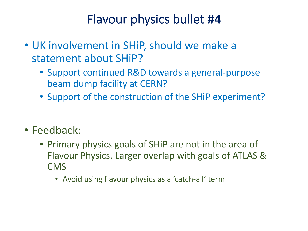- UK involvement in SHiP, should we make a statement about SHiP?
	- Support continued R&D towards a general-purpose beam dump facility at CERN?
	- Support of the construction of the SHiP experiment?
- Feedback:
	- Primary physics goals of SHiP are not in the area of Flavour Physics. Larger overlap with goals of ATLAS & CMS
		- Avoid using flavour physics as a 'catch-all' term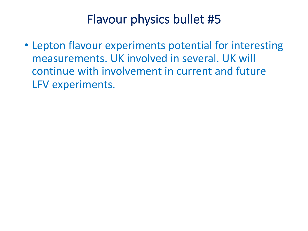• Lepton flavour experiments potential for interesting measurements. UK involved in several. UK will continue with involvement in current and future LFV experiments.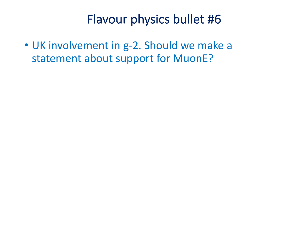• UK involvement in g-2. Should we make a statement about support for MuonE?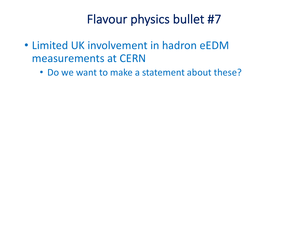- Limited UK involvement in hadron eEDM measurements at CERN
	- Do we want to make a statement about these?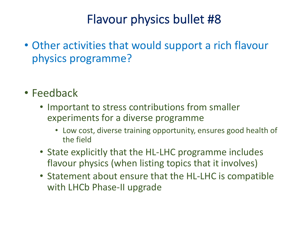- Other activities that would support a rich flavour physics programme?
- Feedback
	- Important to stress contributions from smaller experiments for a diverse programme
		- Low cost, diverse training opportunity, ensures good health of the field
	- State explicitly that the HL-LHC programme includes flavour physics (when listing topics that it involves)
	- Statement about ensure that the HL-LHC is compatible with LHCb Phase-II upgrade